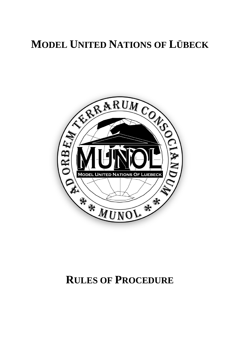# **MODEL UNITED NATIONS OF LÜBECK**



# **RULES OF PROCEDURE**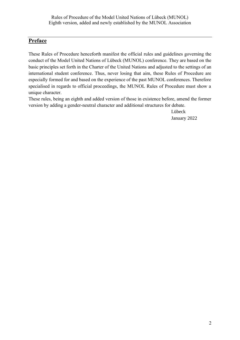## <span id="page-1-0"></span>**Preface**

These Rules of Procedure henceforth manifest the official rules and guidelines governing the conduct of the Model United Nations of Lübeck (MUNOL) conference. They are based on the basic principles set forth in the Charter of the United Nations and adjusted to the settings of an international student conference. Thus, never losing that aim, these Rules of Procedure are especially formed for and based on the experience of the past MUNOL conferences. Therefore specialised in regards to official proceedings, the MUNOL Rules of Procedure must show a unique character.

These rules, being an eighth and added version of those in existence before, amend the former version by adding a gender-neutral character and additional structures for debate.

> Lübeck January 2022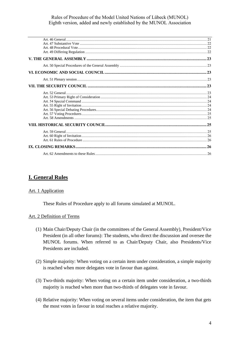# <span id="page-3-0"></span>**I. General Rules**

## <span id="page-3-1"></span>Art. 1 Application

These Rules of Procedure apply to all forums simulated at MUNOL.

#### <span id="page-3-2"></span>Art. 2 Definition of Terms

- (1) Main Chair/Deputy Chair (in the committees of the General Assembly), President/Vice President (in all other forums): The students, who direct the discussion and oversee the MUNOL forums. When referred to as Chair/Deputy Chair, also Presidents/Vice Presidents are included.
- (2) Simple majority: When voting on a certain item under consideration, a simple majority is reached when more delegates vote in favour than against.
- (3) Two-thirds majority: When voting on a certain item under consideration, a two-thirds majority is reached when more than two-thirds of delegates vote in favour.
- (4) Relative majority: When voting on several items under consideration, the item that gets the most votes in favour in total reaches a relative majority.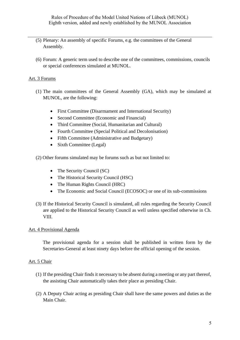- (5) Plenary: An assembly of specific Forums, e.g. the committees of the General Assembly.
- (6) Forum: A generic term used to describe one of the committees, commissions, councils or special conferences simulated at MUNOL.

## <span id="page-4-0"></span>Art. 3 Forums

- (1) The main committees of the General Assembly (GA), which may be simulated at MUNOL, are the following:
	- First Committee (Disarmament and International Security)
	- Second Committee (Economic and Financial)
	- Third Committee (Social, Humanitarian and Cultural)
	- Fourth Committee (Special Political and Decolonisation)
	- Fifth Committee (Administrative and Budgetary)
	- Sixth Committee (Legal)

(2) Other forums simulated may be forums such as but not limited to:

- The Security Council (SC)
- The Historical Security Council (HSC)
- The Human Rights Council (HRC)
- The Economic and Social Council (ECOSOC) or one of its sub-commissions
- (3) If the Historical Security Council is simulated, all rules regarding the Security Council are applied to the Historical Security Council as well unless specified otherwise in Ch. VIII.

## <span id="page-4-1"></span>Art. 4 Provisional Agenda

The provisional agenda for a session shall be published in written form by the Secretaries-General at least ninety days before the official opening of the session.

## <span id="page-4-2"></span>Art. 5 Chair

- (1) If the presiding Chair finds it necessary to be absent during a meeting or any part thereof, the assisting Chair automatically takes their place as presiding Chair.
- (2) A Deputy Chair acting as presiding Chair shall have the same powers and duties as the Main Chair.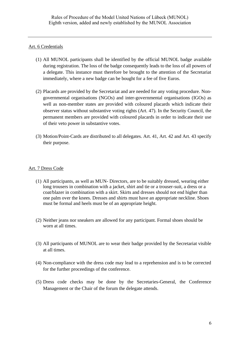## <span id="page-5-0"></span>Art. 6 Credentials

- (1) All MUNOL participants shall be identified by the official MUNOL badge available during registration. The loss of the badge consequently leads to the loss of all powers of a delegate. This instance must therefore be brought to the attention of the Secretariat immediately, where a new badge can be bought for a fee of five Euros.
- (2) Placards are provided by the Secretariat and are needed for any voting procedure. Nongovernmental organisations (NGOs) and inter-governmental organisations (IGOs) as well as non-member states are provided with coloured placards which indicate their observer status without substantive voting rights (Art. 47). In the Security Council, the permanent members are provided with coloured placards in order to indicate their use of their veto power in substantive votes.
- (3) Motion/Point-Cards are distributed to all delegates. Art. 41, Art. 42 and Art. 43 specify their purpose.

## <span id="page-5-1"></span>Art. 7 Dress Code

- (1) All participants, as well as MUN- Directors, are to be suitably dressed, wearing either long trousers in combination with a jacket, shirt and tie or a trouser-suit, a dress or a coat/blazer in combination with a skirt. Skirts and dresses should not end higher than one palm over the knees. Dresses and shirts must have an appropriate neckline. Shoes must be formal and heels must be of an appropriate height.
- (2) Neither jeans nor sneakers are allowed for any participant. Formal shoes should be worn at all times.
- (3) All participants of MUNOL are to wear their badge provided by the Secretariat visible at all times.
- (4) Non-compliance with the dress code may lead to a reprehension and is to be corrected for the further proceedings of the conference.
- (5) Dress code checks may be done by the Secretaries-General, the Conference Management or the Chair of the forum the delegate attends.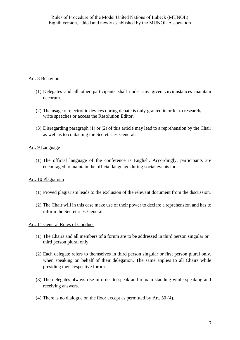## <span id="page-6-0"></span>Art. 8 Behaviour

- (1) Delegates and all other participants shall under any given circumstances maintain decorum.
- (2) The usage of electronic devices during debate is only granted in order to research**,** write speeches or access the Resolution Editor.
- (3) Disregarding paragraph (1) or (2) of this article may lead to a reprehension by the Chair as well as to contacting the Secretaries-General.

## <span id="page-6-1"></span>Art. 9 Language

(1) The official language of the conference is English. Accordingly, participants are encouraged to maintain the official language during social events too.

## <span id="page-6-2"></span>Art. 10 Plagiarism

- (1) Proved plagiarism leads to the exclusion of the relevant document from the discussion.
- (2) The Chair will in this case make use of their power to declare a reprehension and has to inform the Secretaries-General.

## <span id="page-6-3"></span>Art. 11 General Rules of Conduct

- (1) The Chairs and all members of a forum are to be addressed in third person singular or third person plural only.
- (2) Each delegate refers to themselves in third person singular or first person plural only, when speaking on behalf of their delegation. The same applies to all Chairs while presiding their respective forum.
- (3) The delegates always rise in order to speak and remain standing while speaking and receiving answers.
- (4) There is no dialogue on the floor except as permitted by Art. 50 (4).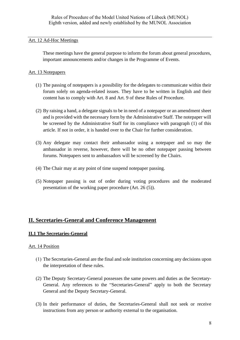## <span id="page-7-0"></span>Art. 12 Ad-Hoc Meetings

These meetings have the general purpose to inform the forum about general procedures, important announcements and/or changes in the Programme of Events.

## <span id="page-7-1"></span>Art. 13 Notepapers

- (1) The passing of notepapers is a possibility for the delegates to communicate within their forum solely on agenda-related issues. They have to be written in English and their content has to comply with Art. 8 and Art. 9 of these Rules of Procedure.
- (2) By raising a hand, a delegate signals to be in need of a notepaper or an amendment sheet and is provided with the necessary form by the Administrative Staff. The notepaper will be screened by the Administrative Staff for its compliance with paragraph (1) of this article. If not in order, it is handed over to the Chair for further consideration.
- (3) Any delegate may contact their ambassador using a notepaper and so may the ambassador in reverse, however, there will be no other notepaper passing between forums. Notepapers sent to ambassadors will be screened by the Chairs.
- (4) The Chair may at any point of time suspend notepaper passing.
- (5) Notepaper passing is out of order during voting procedures and the moderated presentation of the working paper procedure (Art. 26 (5)).

# <span id="page-7-2"></span>**II. Secretaries-General and Conference Management**

## <span id="page-7-3"></span>**II.1 The Secretaries-General**

## <span id="page-7-4"></span>Art. 14 Position

- (1) The Secretaries-General are the final and sole institution concerning any decisions upon the interpretation of these rules.
- (2) The Deputy Secretary-General possesses the same powers and duties as the Secretary-General. Any references to the "Secretaries-General" apply to both the Secretary General and the Deputy Secretary-General.
- (3) In their performance of duties, the Secretaries-General shall not seek or receive instructions from any person or authority external to the organisation.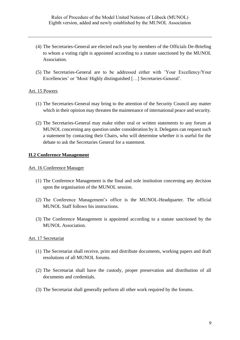- (4) The Secretaries-General are elected each year by members of the Officials De-Briefing to whom a voting right is appointed according to a statute sanctioned by the MUNOL Association.
- (5) The Secretaries-General are to be addressed either with 'Your Excellency/Your Excellencies' or 'Most/ Highly distinguished […] Secretaries-General'.

#### <span id="page-8-0"></span>Art. 15 Powers

- (1) The Secretaries-General may bring to the attention of the Security Council any matter which in their opinion may threaten the maintenance of international peace and security.
- (2) The Secretaries-General may make either oral or written statements to any forum at MUNOL concerning any question under consideration by it. Delegates can request such a statement by contacting their Chairs, who will determine whether it is useful for the debate to ask the Secretaries General for a statement.

## <span id="page-8-1"></span>**II.2 Conference Management**

#### <span id="page-8-2"></span>Art. 16 Conference Manager

- (1) The Conference Management is the final and sole institution concerning any decision upon the organisation of the MUNOL session.
- (2) The Conference Management's office is the MUNOL-Headquarter. The official MUNOL Staff follows his instructions.
- (3) The Conference Management is appointed according to a statute sanctioned by the MUNOL Association.

#### <span id="page-8-3"></span>Art. 17 Secretariat

- (1) The Secretariat shall receive, print and distribute documents, working papers and draft resolutions of all MUNOL forums.
- (2) The Secretariat shall have the custody, proper preservation and distribution of all documents and credentials.
- (3) The Secretariat shall generally perform all other work required by the forums.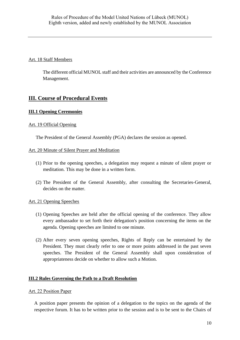## <span id="page-9-0"></span>Art. 18 Staff Members

The different official MUNOL staff and their activities are announced by the Conference Management.

# <span id="page-9-1"></span>**III. Course of Procedural Events**

## <span id="page-9-2"></span>**III.1 Opening Ceremonies**

## <span id="page-9-3"></span>Art. 19 Official Opening

The President of the General Assembly (PGA) declares the session as opened.

## <span id="page-9-4"></span>Art. 20 Minute of Silent Prayer and Meditation

- (1) Prior to the opening speeches, a delegation may request a minute of silent prayer or meditation. This may be done in a written form.
- (2) The President of the General Assembly, after consulting the Secretaries-General, decides on the matter.

## <span id="page-9-5"></span>Art. 21 Opening Speeches

- (1) Opening Speeches are held after the official opening of the conference. They allow every ambassador to set forth their delegation's position concerning the items on the agenda. Opening speeches are limited to one minute.
- (2) After every seven opening speeches, Rights of Reply can be entertained by the President. They must clearly refer to one or more points addressed in the past seven speeches. The President of the General Assembly shall upon consideration of appropriateness decide on whether to allow such a Motion.

## <span id="page-9-6"></span>**III.2 Rules Governing the Path to a Draft Resolution**

## <span id="page-9-7"></span>Art. 22 Position Paper

A position paper presents the opinion of a delegation to the topics on the agenda of the respective forum. It has to be written prior to the session and is to be sent to the Chairs of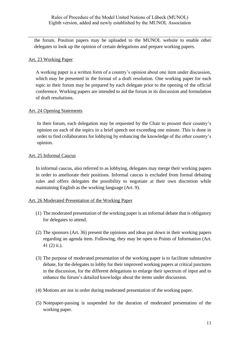the forum. Position papers may be uploaded to the MUNOL website to enable other delegates to look up the opinion of certain delegations and prepare working papers.

## <span id="page-10-0"></span>Art. 23 Working Paper

A working paper is a written form of a country's opinion about one item under discussion, which may be presented in the format of a draft resolution. One working paper for each topic in their forum may be prepared by each delegate prior to the opening of the official conference. Working papers are intended to aid the forum in its discussion and formulation of draft resolutions.

## <span id="page-10-1"></span>Art. 24 Opening Statements

In their forum, each delegation may be requested by the Chair to present their country's opinion on each of the topics in a brief speech not exceeding one minute. This is done in order to find collaborators for lobbying by enhancing the knowledge of the other country's opinion.

## <span id="page-10-2"></span>Art. 25 Informal Caucus

In informal caucus, also referred to as lobbying, delegates may merge their working papers in order to ameliorate their positions. Informal caucus is excluded from formal debating rules and offers delegates the possibility to negotiate at their own discretion while maintaining English as the working language (Art. 9).

## <span id="page-10-3"></span>Art. 26 Moderated Presentation of the Working Paper

- (1) The moderated presentation of the working paper is an informal debate that is obligatory for delegates to attend.
- (2) The sponsors (Art. 36) present the opinions and ideas put down in their working papers regarding an agenda item. Following, they may be open to Points of Information (Art. 41 (2) ii.).
- (3) The purpose of moderated presentation of the working paper is to facilitate substantive debate, for the delegates to lobby for their improved working papers at critical junctures in the discussion, for the different delegations to enlarge their spectrum of input and to enhance the forum's detailed knowledge about the items under discussion.
- (4) Motions are not in order during moderated presentation of the working paper.
- (5) Notepaper-passing is suspended for the duration of moderated presentation of the working paper.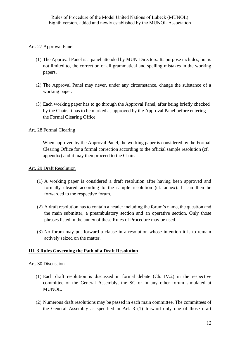## <span id="page-11-0"></span>Art. 27 Approval Panel

- (1) The Approval Panel is a panel attended by MUN-Directors. Its purpose includes, but is not limited to, the correction of all grammatical and spelling mistakes in the working papers.
- (2) The Approval Panel may never, under any circumstance, change the substance of a working paper.
- (3) Each working paper has to go through the Approval Panel, after being briefly checked by the Chair. It has to be marked as approved by the Approval Panel before entering the Formal Clearing Office.

## <span id="page-11-1"></span>Art. 28 Formal Clearing

When approved by the Approval Panel, the working paper is considered by the Formal Clearing Office for a formal correction according to the official sample resolution (cf. appendix) and it may then proceed to the Chair.

## <span id="page-11-2"></span>Art. 29 Draft Resolution

- (1) A working paper is considered a draft resolution after having been approved and formally cleared according to the sample resolution (cf. annex). It can then be forwarded to the respective forum.
- (2) A draft resolution has to contain a header including the forum's name, the question and the main submitter, a preambulatory section and an operative section. Only those phrases listed in the annex of these Rules of Procedure may be used.
- (3) No forum may put forward a clause in a resolution whose intention it is to remain actively seized on the matter.

## <span id="page-11-3"></span>**III. 3 Rules Governing the Path of a Draft Resolution**

## <span id="page-11-4"></span>Art. 30 Discussion

- (1) Each draft resolution is discussed in formal debate (Ch. IV.2) in the respective committee of the General Assembly, the SC or in any other forum simulated at MUNOL.
- (2) Numerous draft resolutions may be passed in each main committee. The committees of the General Assembly as specified in Art. 3 (1) forward only one of those draft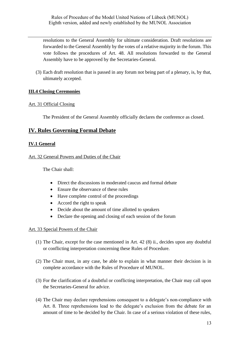resolutions to the General Assembly for ultimate consideration. Draft resolutions are forwarded to the General Assembly by the votes of a relative majority in the forum. This vote follows the procedures of Art. 48. All resolutions forwarded to the General Assembly have to be approved by the Secretaries-General.

(3) Each draft resolution that is passed in any forum not being part of a plenary, is, by that, ultimately accepted.

## <span id="page-12-0"></span>**III.4 Closing Ceremonies**

## <span id="page-12-1"></span>Art. 31 Official Closing

The President of the General Assembly officially declares the conference as closed.

# <span id="page-12-2"></span>**IV. Rules Governing Formal Debate**

## <span id="page-12-3"></span>**IV.1 General**

## <span id="page-12-4"></span>Art. 32 General Powers and Duties of the Chair

The Chair shall:

- Direct the discussions in moderated caucus and formal debate
- Ensure the observance of these rules
- Have complete control of the proceedings
- Accord the right to speak
- Decide about the amount of time allotted to speakers
- Declare the opening and closing of each session of the forum

## <span id="page-12-5"></span>Art. 33 Special Powers of the Chair

- (1) The Chair, except for the case mentioned in Art. 42 (8) ii., decides upon any doubtful or conflicting interpretation concerning these Rules of Procedure.
- (2) The Chair must, in any case, be able to explain in what manner their decision is in complete accordance with the Rules of Procedure of MUNOL.
- (3) For the clarification of a doubtful or conflicting interpretation, the Chair may call upon the Secretaries-General for advice.
- (4) The Chair may declare reprehensions consequent to a delegate's non-compliance with Art. 8. Three reprehensions lead to the delegate's exclusion from the debate for an amount of time to be decided by the Chair. In case of a serious violation of these rules,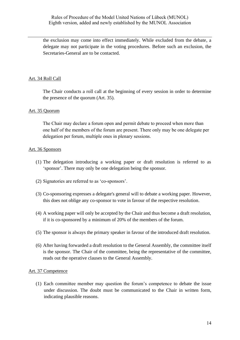the exclusion may come into effect immediately. While excluded from the debate, a delegate may not participate in the voting procedures. Before such an exclusion, the Secretaries-General are to be contacted.

## <span id="page-13-0"></span>Art. 34 Roll Call

The Chair conducts a roll call at the beginning of every session in order to determine the presence of the quorum (Art. 35).

#### <span id="page-13-1"></span>Art. 35 Quorum

The Chair may declare a forum open and permit debate to proceed when more than one half of the members of the forum are present. There only may be one delegate per delegation per forum, multiple ones in plenary sessions.

#### <span id="page-13-2"></span>Art. 36 Sponsors

- (1) The delegation introducing a working paper or draft resolution is referred to as 'sponsor'. There may only be one delegation being the sponsor.
- (2) Signatories are referred to as 'co-sponsors'.
- (3) Co-sponsoring expresses a delegate's general will to debate a working paper. However, this does not oblige any co-sponsor to vote in favour of the respective resolution.
- (4) A working paper will only be accepted by the Chair and thus become a draft resolution, if it is co-sponsored by a minimum of 20% of the members of the forum.
- (5) The sponsor is always the primary speaker in favour of the introduced draft resolution.
- (6) After having forwarded a draft resolution to the General Assembly, the committee itself is the sponsor. The Chair of the committee, being the representative of the committee, reads out the operative clauses to the General Assembly.

#### <span id="page-13-3"></span>Art. 37 Competence

(1) Each committee member may question the forum's competence to debate the issue under discussion. The doubt must be communicated to the Chair in written form, indicating plausible reasons.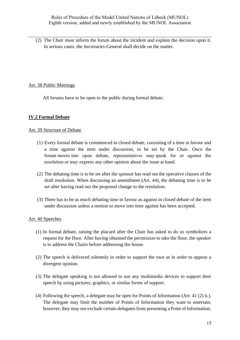(2) The Chair must inform the forum about the incident and explain the decision upon it. In serious cases, the Secretaries-General shall decide on the matter.

## <span id="page-14-0"></span>Art. 38 Public Meetings

All forums have to be open to the public during formal debate.

## <span id="page-14-1"></span>**IV.2 Formal Debate**

## <span id="page-14-2"></span>Art. 39 Structure of Debate

- (1) Every formal debate is commenced in closed debate, consisting of a time in favour and a time against the item under discussion, to be set by the Chair. Once the forum moves into open debate, representatives may speak for or against the resolution or may express any other opinion about the issue at hand.
- (2) The debating time is to be set after the sponsor has read out the operative clauses of the draft resolution. When discussing an amendment (Art. 44), the debating time is to be set after having read out the proposed change to the resolution.
- (3) There has to be as much debating time in favour as against in closed debate of the item under discussion unless a motion to move into time against has been accepted.

## <span id="page-14-3"></span>Art. 40 Speeches

- (1) In formal debate, raising the placard after the Chair has asked to do so symbolizes a request for the floor. After having obtained the permission to take the floor, the speaker is to address the Chairs before addressing the house.
- (2) The speech is delivered solemnly in order to support the own or in order to oppose a divergent opinion.
- (3) The delegate speaking is not allowed to use any multimedia devices to support their speech by using pictures, graphics, or similar forms of support.
- (4) Following the speech, a delegate may be open for Points of Information (Art. 41 (2) ii.). The delegate may limit the number of Points of Information they want to entertain; however, they may not exclude certain delegates from presenting a Point of Information.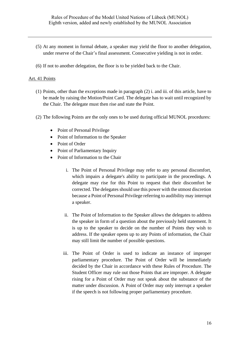- (5) At any moment in formal debate, a speaker may yield the floor to another delegation, under reserve of the Chair's final assessment. Consecutive yielding is not in order.
- (6) If not to another delegation, the floor is to be yielded back to the Chair.

#### <span id="page-15-0"></span>Art. 41 Points

- (1) Points, other than the exceptions made in paragraph (2) i. and iii. of this article, have to be made by raising the Motion/Point Card. The delegate has to wait until recognized by the Chair. The delegate must then rise and state the Point.
- (2) The following Points are the only ones to be used during official MUNOL procedures:
	- Point of Personal Privilege
	- Point of Information to the Speaker
	- Point of Order
	- Point of Parliamentary Inquiry
	- Point of Information to the Chair
		- i. The Point of Personal Privilege may refer to any personal discomfort, which impairs a delegate's ability to participate in the proceedings. A delegate may rise for this Point to request that their discomfort be corrected. The delegates should use this power with the utmost discretion because a Point of Personal Privilege referring to audibility may interrupt a speaker.
		- ii. The Point of Information to the Speaker allows the delegates to address the speaker in form of a question about the previously held statement. It is up to the speaker to decide on the number of Points they wish to address. If the speaker opens up to any Points of information, the Chair may still limit the number of possible questions.
		- iii. The Point of Order is used to indicate an instance of improper parliamentary procedure. The Point of Order will be immediately decided by the Chair in accordance with these Rules of Procedure. The Student Officer may rule out those Points that are improper. A delegate rising for a Point of Order may not speak about the substance of the matter under discussion. A Point of Order may only interrupt a speaker if the speech is not following proper parliamentary procedure.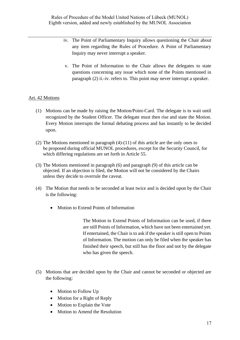- iv. The Point of Parliamentary Inquiry allows questioning the Chair about any item regarding the Rules of Procedure. A Point of Parliamentary Inquiry may never interrupt a speaker.
- v. The Point of Information to the Chair allows the delegates to state questions concerning any issue which none of the Points mentioned in paragraph (2) ii.-iv. refers to. This point may never interrupt a speaker.

## <span id="page-16-0"></span>Art. 42 Motions

- (1) Motions can be made by raising the Motion/Point-Card. The delegate is to wait until recognized by the Student Officer. The delegate must then rise and state the Motion. Every Motion interrupts the formal debating process and has instantly to be decided upon.
- (2) The Motions mentioned in paragraph (4)-(11) of this article are the only ones to be proposed during official MUNOL procedures, except for the Security Council, for which differing regulations are set forth in Article 55.
- (3) The Motions mentioned in paragraph (6) and paragraph (9) of this article can be objected. If an objection is filed, the Motion will not be considered by the Chairs unless they decide to overrule the caveat.
- (4) The Motion that needs to be seconded at least twice and is decided upon by the Chair is the following:
	- Motion to Extend Points of Information

The Motion to Extend Points of Information can be used, if there are still Points of Information, which have not been entertained yet. If entertained, the Chair is to ask if the speaker is still open to Points of Information. The motion can only be filed when the speaker has finished their speech, but still has the floor and not by the delegate who has given the speech.

- (5) Motions that are decided upon by the Chair and cannot be seconded or objected are the following:
	- Motion to Follow Up
	- Motion for a Right of Reply
	- Motion to Explain the Vote
	- Motion to Amend the Resolution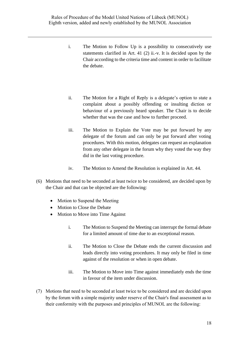- i. The Motion to Follow Up is a possibility to consecutively use statements clarified in Art. 41 (2) ii.-v. It is decided upon by the Chair according to the criteria time and content in order to facilitate the debate.
- ii. The Motion for a Right of Reply is a delegate's option to state a complaint about a possibly offending or insulting diction or behaviour of a previously heard speaker. The Chair is to decide whether that was the case and how to further proceed.
- iii. The Motion to Explain the Vote may be put forward by any delegate of the forum and can only be put forward after voting procedures. With this motion, delegates can request an explanation from any other delegate in the forum why they voted the way they did in the last voting procedure.
- iv. The Motion to Amend the Resolution is explained in Art. 44.
- (6) Motions that need to be seconded at least twice to be considered, are decided upon by the Chair and that can be objected are the following:
	- Motion to Suspend the Meeting
	- Motion to Close the Debate
	- Motion to Move into Time Against
		- i. The Motion to Suspend the Meeting can interrupt the formal debate for a limited amount of time due to an exceptional reason.
		- ii. The Motion to Close the Debate ends the current discussion and leads directly into voting procedures. It may only be filed in time against of the resolution or when in open debate.
		- iii. The Motion to Move into Time against immediately ends the time in favour of the item under discussion.
- (7) Motions that need to be seconded at least twice to be considered and are decided upon by the forum with a simple majority under reserve of the Chair's final assessment as to their conformity with the purposes and principles of MUNOL are the following: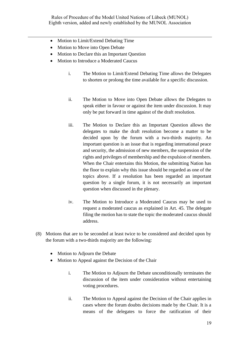- Motion to Limit/Extend Debating Time
- Motion to Move into Open Debate
- Motion to Declare this an Important Question
- Motion to Introduce a Moderated Caucus
	- i. The Motion to Limit/Extend Debating Time allows the Delegates to shorten or prolong the time available for a specific discussion.
	- ii. The Motion to Move into Open Debate allows the Delegates to speak either in favour or against the item under discussion. It may only be put forward in time against of the draft resolution.
	- iii. The Motion to Declare this an Important Question allows the delegates to make the draft resolution become a matter to be decided upon by the forum with a two-thirds majority. An important question is an issue that is regarding international peace and security, the admission of new members, the suspension of the rights and privileges of membership and the expulsion of members. When the Chair entertains this Motion, the submitting Nation has the floor to explain why this issue should be regarded as one of the topics above. If a resolution has been regarded an important question by a single forum, it is not necessarily an important question when discussed in the plenary.
	- iv. The Motion to Introduce a Moderated Caucus may be used to request a moderated caucus as explained in Art. 45. The delegate filing the motion has to state the topic the moderated caucus should address.
- (8) Motions that are to be seconded at least twice to be considered and decided upon by the forum with a two-thirds majority are the following:
	- Motion to Adjourn the Debate
	- Motion to Appeal against the Decision of the Chair
		- i. The Motion to Adjourn the Debate unconditionally terminates the discussion of the item under consideration without entertaining voting procedures.
		- ii. The Motion to Appeal against the Decision of the Chair applies in cases where the forum doubts decisions made by the Chair. It is a means of the delegates to force the ratification of their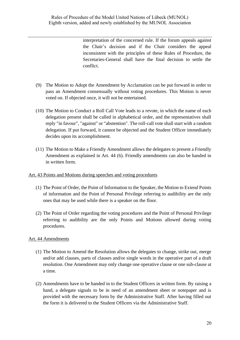interpretation of the concerned rule. If the forum appeals against the Chair's decision and if the Chair considers the appeal inconsistent with the principles of these Rules of Procedure, the Secretaries-General shall have the final decision to settle the conflict.

- (9) The Motion to Adopt the Amendment by Acclamation can be put forward in order to pass an Amendment consensually without voting procedures. This Motion is never voted on. If objected once, it will not be entertained.
- (10) The Motion to Conduct a Roll Call Vote leads to a revote, in which the name of each delegation present shall be called in alphabetical order, and the representatives shall reply "in favour", "against" or "abstention". The roll-call vote shall start with a random delegation. If put forward, it cannot be objected and the Student Officer immediately decides upon its accomplishment.
- (11) The Motion to Make a Friendly Amendment allows the delegates to present a Friendly Amendment as explained in Art. 44 (6). Friendly amendments can also be handed in in written form.
- <span id="page-19-0"></span>Art. 43 Points and Motions during speeches and voting procedures
	- (1) The Point of Order, the Point of Information to the Speaker, the Motion to Extend Points of information and the Point of Personal Privilege referring to audibility are the only ones that may be used while there is a speaker on the floor.
	- (2) The Point of Order regarding the voting procedures and the Point of Personal Privilege referring to audibility are the only Points and Motions allowed during voting procedures.

## <span id="page-19-1"></span>Art. 44 Amendments

- (1) The Motion to Amend the Resolution allows the delegates to change, strike out, merge and/or add clauses, parts of clauses and/or single words in the operative part of a draft resolution. One Amendment may only change one operative clause or one sub-clause at a time.
- (2) Amendments have to be handed in to the Student Officers in written form. By raising a hand, a delegate signals to be in need of an amendment sheet or notepaper and is provided with the necessary form by the Administrative Staff. After having filled out the form it is delivered to the Student Officers via the Administrative Staff.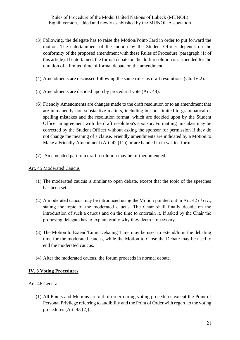- (3) Following, the delegate has to raise the Motion/Point-Card in order to put forward the motion. The entertainment of the motion by the Student Officer depends on the conformity of the proposed amendment with these Rules of Procedure (paragraph (1) of this article). If entertained, the formal debate on the draft resolution is suspended for the duration of a limited time of formal debate on the amendment.
- (4) Amendments are discussed following the same rules as draft resolutions (Ch. IV.2).
- (5) Amendments are decided upon by procedural vote (Art. 48).
- (6) Friendly Amendments are changes made to the draft resolution or to an amendment that are immanently non-substantive matters, including but not limited to grammatical or spelling mistakes and the resolution format, which are decided upon by the Student Officer in agreement with the draft resolution's sponsor. Formatting mistakes may be corrected by the Student Officer without asking the sponsor for permission if they do not change the meaning of a clause. Friendly amendments are indicated by a Motion to Make a Friendly Amendment (Art. 42 (11)) or are handed in in written form.
- (7) An amended part of a draft resolution may be further amended.

#### <span id="page-20-0"></span>Art. 45 Moderated Caucus

- (1) The moderated caucus is similar to open debate, except that the topic of the speeches has been set.
- (2) A moderated caucus may be introduced using the Motion pointed out in Art. 42 (7) iv., stating the topic of the moderated caucus. The Chair shall finally decide on the introduction of such a caucus and on the time to entertain it. If asked by the Chair the proposing delegate has to explain orally why they deem it necessary.
- (3) The Motion to Extend/Limit Debating Time may be used to extend/limit the debating time for the moderated caucus, while the Motion to Close the Debate may be used to end the moderated caucus.
- (4) After the moderated caucus, the forum proceeds in normal debate.

## <span id="page-20-1"></span>**IV. 3 Voting Procedures**

#### <span id="page-20-2"></span>Art. 46 General

(1) All Points and Motions are out of order during voting procedures except the Point of Personal Privilege referring to audibility and the Point of Order with regard to the voting procedures (Art. 43 (2)).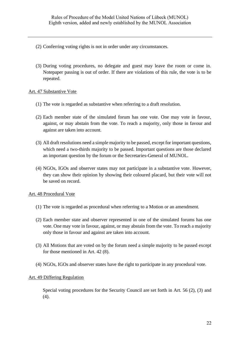- (2) Conferring voting rights is not in order under any circumstances.
- (3) During voting procedures, no delegate and guest may leave the room or come in. Notepaper passing is out of order. If there are violations of this rule, the vote is to be repeated.

## <span id="page-21-0"></span>Art. 47 Substantive Vote

- (1) The vote is regarded as substantive when referring to a draft resolution.
- (2) Each member state of the simulated forum has one vote. One may vote in favour, against, or may abstain from the vote. To reach a majority, only those in favour and against are taken into account.
- (3) All draft resolutions need a simple majority to be passed, except for important questions, which need a two-thirds majority to be passed. Important questions are those declared an important question by the forum or the Secretaries-General of MUNOL.
- (4) NGOs, IGOs and observer states may not participate in a substantive vote. However, they can show their opinion by showing their coloured placard, but their vote will not be saved on record.

## <span id="page-21-1"></span>Art. 48 Procedural Vote

- (1) The vote is regarded as procedural when referring to a Motion or an amendment.
- (2) Each member state and observer represented in one of the simulated forums has one vote. One may vote in favour, against, or may abstain from the vote. To reach a majority only those in favour and against are taken into account.
- (3) All Motions that are voted on by the forum need a simple majority to be passed except for those mentioned in Art. 42 (8).
- (4) NGOs, IGOs and observer states have the right to participate in any procedural vote.

## <span id="page-21-2"></span>Art. 49 Differing Regulation

Special voting procedures for the Security Council are set forth in Art. 56 (2), (3) and (4).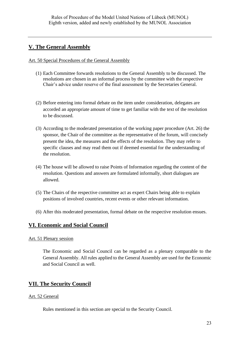# <span id="page-22-0"></span>**V. The General Assembly**

<span id="page-22-1"></span>Art. 50 Special Procedures of the General Assembly

- (1) Each Committee forwards resolutions to the General Assembly to be discussed. The resolutions are chosen in an informal process by the committee with the respective Chair's advice under reserve of the final assessment by the Secretaries General.
- (2) Before entering into formal debate on the item under consideration, delegates are accorded an appropriate amount of time to get familiar with the text of the resolution to be discussed.
- (3) According to the moderated presentation of the working paper procedure (Art. 26) the sponsor, the Chair of the committee as the representative of the forum, will concisely present the idea, the measures and the effects of the resolution. They may refer to specific clauses and may read them out if deemed essential for the understanding of the resolution.
- (4) The house will be allowed to raise Points of Information regarding the content of the resolution. Questions and answers are formulated informally, short dialogues are allowed.
- (5) The Chairs of the respective committee act as expert Chairs being able to explain positions of involved countries, recent events or other relevant information.
- (6) After this moderated presentation, formal debate on the respective resolution ensues.

# <span id="page-22-2"></span>**VI. Economic and Social Council**

## <span id="page-22-3"></span>Art. 51 Plenary session

The Economic and Social Council can be regarded as a plenary comparable to the General Assembly. All rules applied to the General Assembly are used for the Economic and Social Council as well.

## <span id="page-22-4"></span>**VII. The Security Council**

## <span id="page-22-5"></span>Art. 52 General

Rules mentioned in this section are special to the Security Council.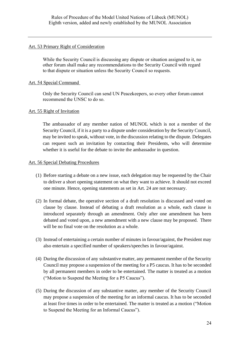## <span id="page-23-0"></span>Art. 53 Primary Right of Consideration

While the Security Council is discussing any dispute or situation assigned to it, no other forum shall make any recommendations to the Security Council with regard to that dispute or situation unless the Security Council so requests.

## <span id="page-23-1"></span>Art. 54 Special Command

Only the Security Council can send UN Peacekeepers, so every other forum cannot recommend the UNSC to do so. 

## <span id="page-23-2"></span>Art. 55 Right of Invitation

The ambassador of any member nation of MUNOL which is not a member of the Security Council, if it is a party to a dispute under consideration by the Security Council, may be invited to speak, without vote, in the discussion relating to the dispute. Delegates can request such an invitation by contacting their Presidents, who will determine whether it is useful for the debate to invite the ambassador in question.

## <span id="page-23-3"></span>Art. 56 Special Debating Procedures

- (1) Before starting a debate on a new issue, each delegation may be requested by the Chair to deliver a short opening statement on what they want to achieve. It should not exceed one minute. Hence, opening statements as set in Art. 24 are not necessary.
- (2) In formal debate, the operative section of a draft resolution is discussed and voted on clause by clause. Instead of debating a draft resolution as a whole, each clause is introduced separately through an amendment. Only after one amendment has been debated and voted upon, a new amendment with a new clause may be proposed. There will be no final vote on the resolution as a whole.
- (3) Instead of entertaining a certain number of minutes in favour/against, the President may also entertain a specified number of speakers/speeches in favour/against.
- (4) During the discussion of any substantive matter, any permanent member of the Security Council may propose a suspension of the meeting for a P5 caucus. It has to be seconded by all permanent members in order to be entertained. The matter is treated as a motion ("Motion to Suspend the Meeting for a P5 Caucus").
- (5) During the discussion of any substantive matter, any member of the Security Council may propose a suspension of the meeting for an informal caucus. It has to be seconded at least five times in order to be entertained. The matter is treated as a motion ("Motion to Suspend the Meeting for an Informal Caucus").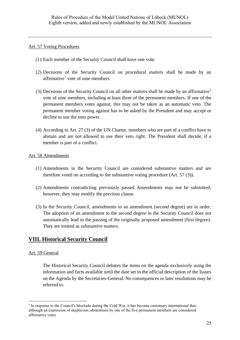## <span id="page-24-0"></span>Art. 57 Voting Procedures

- (1) Each member of the Security Council shall have one vote.
- <span id="page-24-4"></span>(2) Decisions of the Security Council on procedural matters shall be made by an affirmative<sup>1</sup> vote of nine members.
- (3) Decisions of the Security Council on all other matters shall be made by an affirmative<sup>[1](#page-24-4)</sup> vote of nine members, including at least three of the permanent members. If one of the permanent members votes against, this may not be taken as an automatic veto. The permanent member voting against has to be asked by the President and may accept or decline to use the veto power.
- (4) According to Art. 27 (3) of the UN Charter, members who are part of a conflict have to abstain and are not allowed to use their veto right. The President shall decide, if a member is part of a conflict.

## <span id="page-24-1"></span>Art. 58 Amendments

- (1) Amendments in the Security Council are considered substantive matters and are therefore voted on according to the substantive voting procedure (Art. 57 (3)).
- (2) Amendments contradicting previously passed Amendments may not be submitted, however, they may modify the previous clause.
- (3) In the Security Council, amendments to an amendment (second degree) are in order. The adoption of an amendment to the second degree in the Security Council does not automatically lead to the passing of the originally proposed amendment (first degree). They are treated as substantive matters.

# <span id="page-24-2"></span>**VIII. Historical Security Council**

## <span id="page-24-3"></span>Art. 59 General

The Historical Security Council debates the items on the agenda exclusively using the information and facts available until the date set in the official description of the Issues on the Agenda by the Secretaries-General. No consequences or later resolutions may be referred to.

<sup>&</sup>lt;sup>1</sup> In response to the Council's blockade during the Cold War, it has become customary international that, although an expression of skepticism, abstentions by one of the five permanent members are considered affirmative votes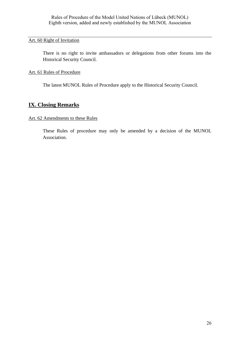## <span id="page-25-0"></span>Art. 60 Right of Invitation

There is no right to invite ambassadors or delegations from other forums into the Historical Security Council.

## <span id="page-25-1"></span>Art. 61 Rules of Procedure

The latest MUNOL Rules of Procedure apply to the Historical Security Council.

# <span id="page-25-2"></span>**IX. Closing Remarks**

## <span id="page-25-3"></span>Art. 62 Amendments to these Rules

These Rules of procedure may only be amended by a decision of the MUNOL Association.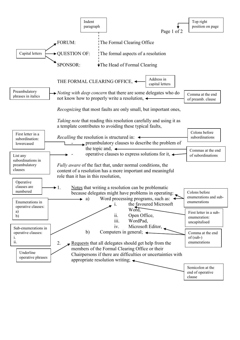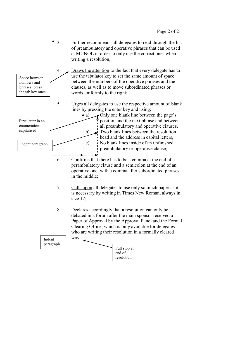

paragraph

Full stop at end of resolution

Page 2 of 2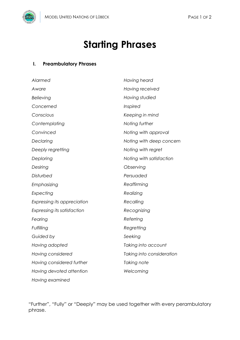

## **I. Preambulatory Phrases**

| Alarmed                            | Having heard              |
|------------------------------------|---------------------------|
| Aware                              | Having received           |
| Believing                          | Having studied            |
| Concerned                          | Inspired                  |
| Conscious                          | Keeping in mind           |
| Contemplating                      | Noting further            |
| Convinced                          | Noting with approval      |
| Declaring                          | Noting with deep concern  |
| Deeply regretting                  | Noting with regret        |
| Deploring                          | Noting with satisfaction  |
| Desiring                           | Observing                 |
| Disturbed                          | Persuaded                 |
| Emphasizing                        | Reaffirming               |
| Expecting                          | Realizing                 |
| <b>Expressing its appreciation</b> | Recalling                 |
| Expressing its satisfaction        | Recognizing               |
| Fearing                            | Referring                 |
| Fulfilling                         | Regretting                |
| Guided by                          | Seeking                   |
| Having adopted                     | Taking into account       |
| Having considered                  | Taking into consideration |
| Having considered further          | Taking note               |
| Having devoted attention           | Welcoming                 |
| Having examined                    |                           |

"Further", "Fully" or "Deeply" may be used together with every perambulatory phrase.